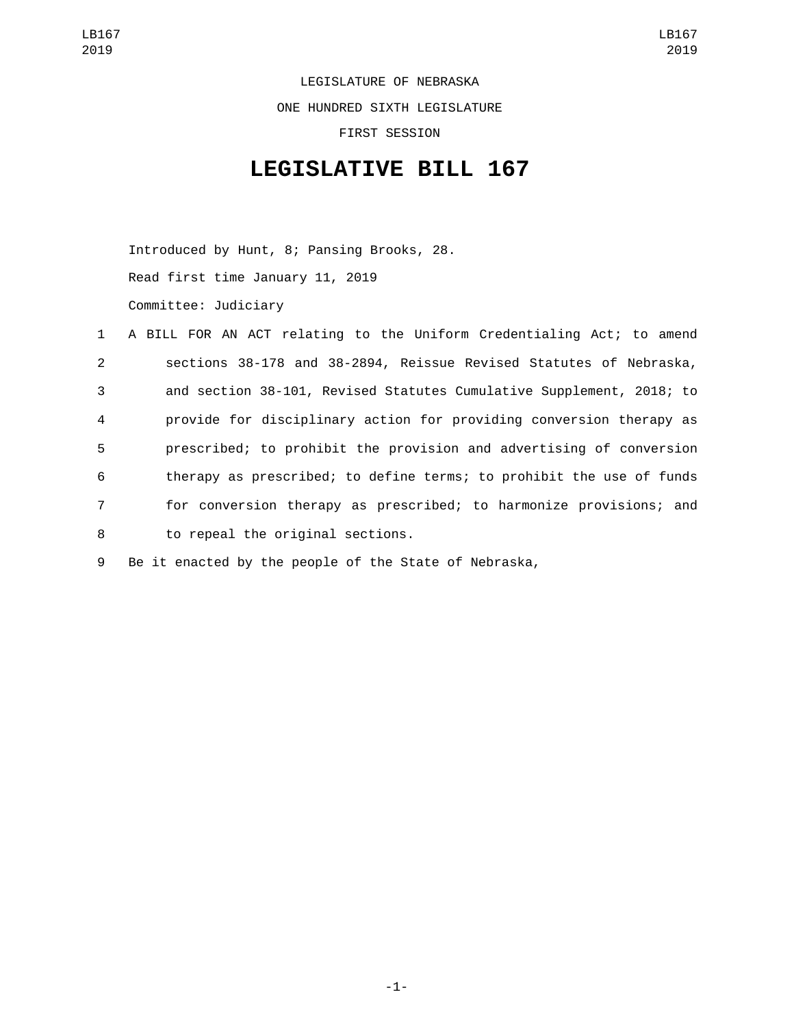LEGISLATURE OF NEBRASKA ONE HUNDRED SIXTH LEGISLATURE FIRST SESSION

## **LEGISLATIVE BILL 167**

Introduced by Hunt, 8; Pansing Brooks, 28. Read first time January 11, 2019 Committee: Judiciary

|                | 1 A BILL FOR AN ACT relating to the Uniform Credentialing Act; to amend |
|----------------|-------------------------------------------------------------------------|
| $2^{\circ}$    | sections 38-178 and 38-2894, Reissue Revised Statutes of Nebraska,      |
| 3              | and section 38-101, Revised Statutes Cumulative Supplement, 2018; to    |
| $\overline{4}$ | provide for disciplinary action for providing conversion therapy as     |
| 5              | prescribed; to prohibit the provision and advertising of conversion     |
| 6              | therapy as prescribed; to define terms; to prohibit the use of funds    |
| $7^{\circ}$    | for conversion therapy as prescribed; to harmonize provisions; and      |
| 8              | to repeal the original sections.                                        |

9 Be it enacted by the people of the State of Nebraska,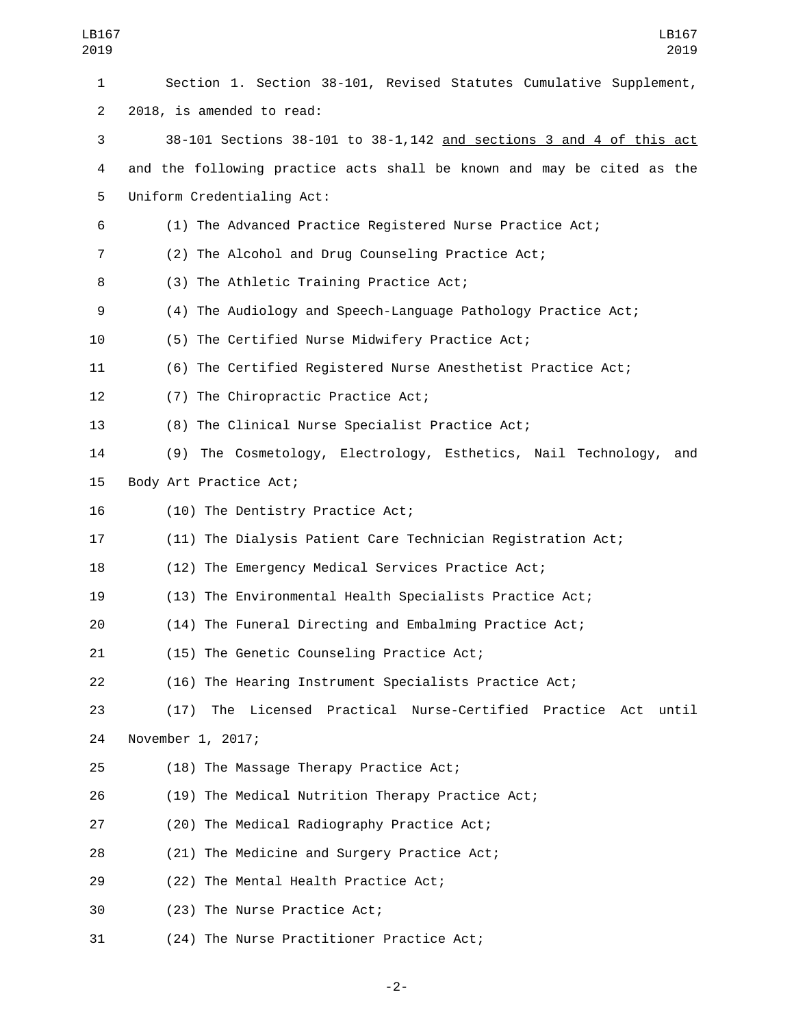| LB167<br>2019  | LB167<br>2019                                                          |
|----------------|------------------------------------------------------------------------|
| 1              | Section 1. Section 38-101, Revised Statutes Cumulative Supplement,     |
| $\overline{2}$ | 2018, is amended to read:                                              |
| 3              | 38-101 Sections 38-101 to 38-1, 142 and sections 3 and 4 of this act   |
| 4              | and the following practice acts shall be known and may be cited as the |
| 5              | Uniform Credentialing Act:                                             |
| 6              | (1) The Advanced Practice Registered Nurse Practice Act;               |
| 7              | (2) The Alcohol and Drug Counseling Practice Act;                      |
| 8              | (3) The Athletic Training Practice Act;                                |
| 9              | (4) The Audiology and Speech-Language Pathology Practice Act;          |
| 10             | (5) The Certified Nurse Midwifery Practice Act;                        |
| 11             | (6) The Certified Registered Nurse Anesthetist Practice Act;           |
| 12             | (7) The Chiropractic Practice Act;                                     |
| 13             | (8) The Clinical Nurse Specialist Practice Act;                        |
| 14             | (9) The Cosmetology, Electrology, Esthetics, Nail Technology,<br>and   |
| 15             | Body Art Practice Act;                                                 |
| 16             | (10) The Dentistry Practice Act;                                       |
| 17             | (11) The Dialysis Patient Care Technician Registration Act;            |
| 18             | (12) The Emergency Medical Services Practice Act;                      |
| 19             | (13) The Environmental Health Specialists Practice Act;                |
| 20             | (14) The Funeral Directing and Embalming Practice Act;                 |
| 21             | (15) The Genetic Counseling Practice Act;                              |
| 22             | (16) The Hearing Instrument Specialists Practice Act;                  |
| 23             | (17) The Licensed Practical Nurse-Certified Practice Act<br>until      |
| 24             | November 1, 2017;                                                      |
| 25             | (18) The Massage Therapy Practice Act;                                 |
| 26             | (19) The Medical Nutrition Therapy Practice Act;                       |
| 27             | (20) The Medical Radiography Practice Act;                             |
| 28             | (21) The Medicine and Surgery Practice Act;                            |
| 29             | (22) The Mental Health Practice Act;                                   |
| 30             | (23) The Nurse Practice Act;                                           |
| 31             | (24) The Nurse Practitioner Practice Act;                              |

-2-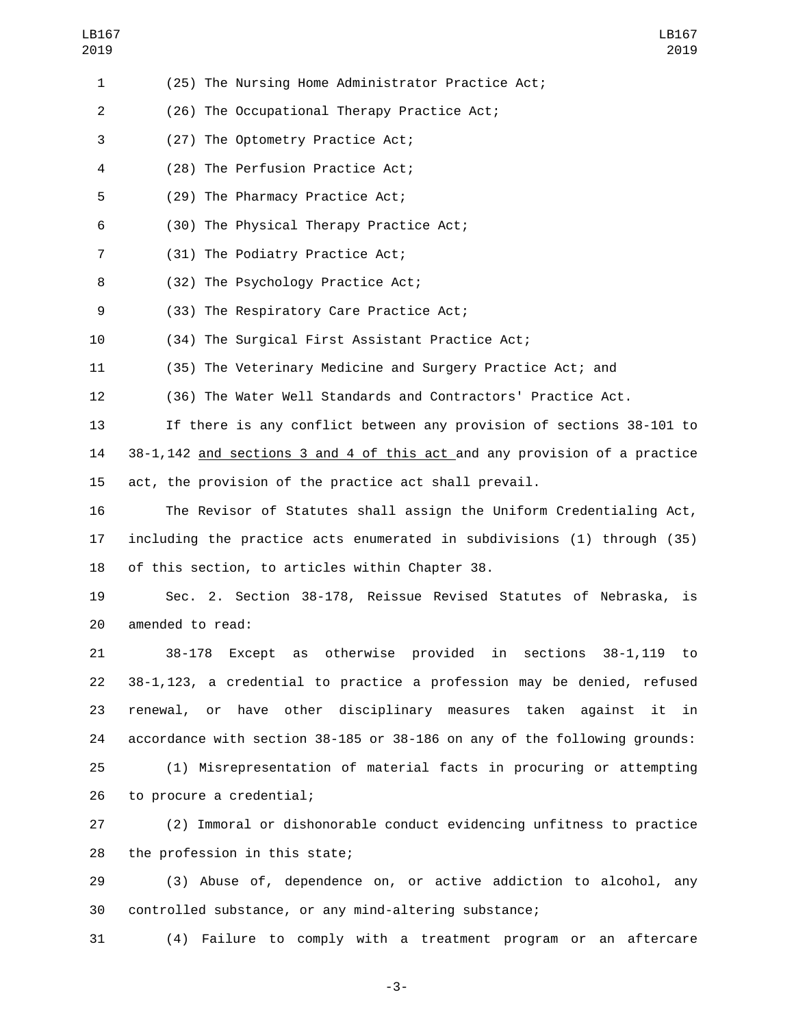| (25) The Nursing Home Administrator Practice Act; |  |
|---------------------------------------------------|--|
|---------------------------------------------------|--|

(26) The Occupational Therapy Practice Act;2

(27) The Optometry Practice Act;3

(28) The Perfusion Practice Act;4

5 (29) The Pharmacy Practice Act;

(30) The Physical Therapy Practice Act;6

7 (31) The Podiatry Practice Act;

8 (32) The Psychology Practice Act;

(33) The Respiratory Care Practice Act;9

10 (34) The Surgical First Assistant Practice Act;

11 (35) The Veterinary Medicine and Surgery Practice Act; and

12 (36) The Water Well Standards and Contractors' Practice Act.

13 If there is any conflict between any provision of sections 38-101 to 14 38-1,142 and sections 3 and 4 of this act and any provision of a practice 15 act, the provision of the practice act shall prevail.

16 The Revisor of Statutes shall assign the Uniform Credentialing Act, 17 including the practice acts enumerated in subdivisions (1) through (35) 18 of this section, to articles within Chapter 38.

19 Sec. 2. Section 38-178, Reissue Revised Statutes of Nebraska, is 20 amended to read:

 38-178 Except as otherwise provided in sections 38-1,119 to 38-1,123, a credential to practice a profession may be denied, refused renewal, or have other disciplinary measures taken against it in accordance with section 38-185 or 38-186 on any of the following grounds:

25 (1) Misrepresentation of material facts in procuring or attempting 26 to procure a credential;

27 (2) Immoral or dishonorable conduct evidencing unfitness to practice 28 the profession in this state;

29 (3) Abuse of, dependence on, or active addiction to alcohol, any 30 controlled substance, or any mind-altering substance;

31 (4) Failure to comply with a treatment program or an aftercare

-3-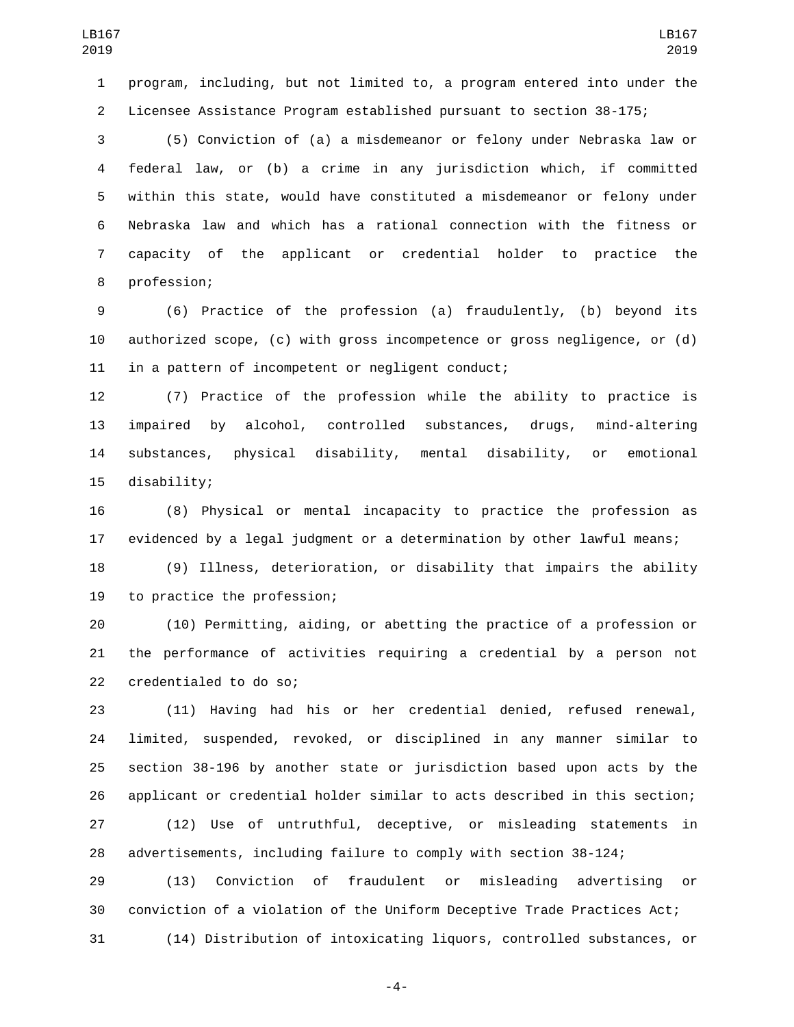program, including, but not limited to, a program entered into under the Licensee Assistance Program established pursuant to section 38-175;

 (5) Conviction of (a) a misdemeanor or felony under Nebraska law or federal law, or (b) a crime in any jurisdiction which, if committed within this state, would have constituted a misdemeanor or felony under Nebraska law and which has a rational connection with the fitness or capacity of the applicant or credential holder to practice the 8 profession;

 (6) Practice of the profession (a) fraudulently, (b) beyond its authorized scope, (c) with gross incompetence or gross negligence, or (d) in a pattern of incompetent or negligent conduct;

 (7) Practice of the profession while the ability to practice is impaired by alcohol, controlled substances, drugs, mind-altering substances, physical disability, mental disability, or emotional 15 disability;

 (8) Physical or mental incapacity to practice the profession as evidenced by a legal judgment or a determination by other lawful means;

 (9) Illness, deterioration, or disability that impairs the ability 19 to practice the profession;

 (10) Permitting, aiding, or abetting the practice of a profession or the performance of activities requiring a credential by a person not 22 credentialed to do so;

 (11) Having had his or her credential denied, refused renewal, limited, suspended, revoked, or disciplined in any manner similar to section 38-196 by another state or jurisdiction based upon acts by the applicant or credential holder similar to acts described in this section;

 (12) Use of untruthful, deceptive, or misleading statements in advertisements, including failure to comply with section 38-124;

 (13) Conviction of fraudulent or misleading advertising or conviction of a violation of the Uniform Deceptive Trade Practices Act; (14) Distribution of intoxicating liquors, controlled substances, or

-4-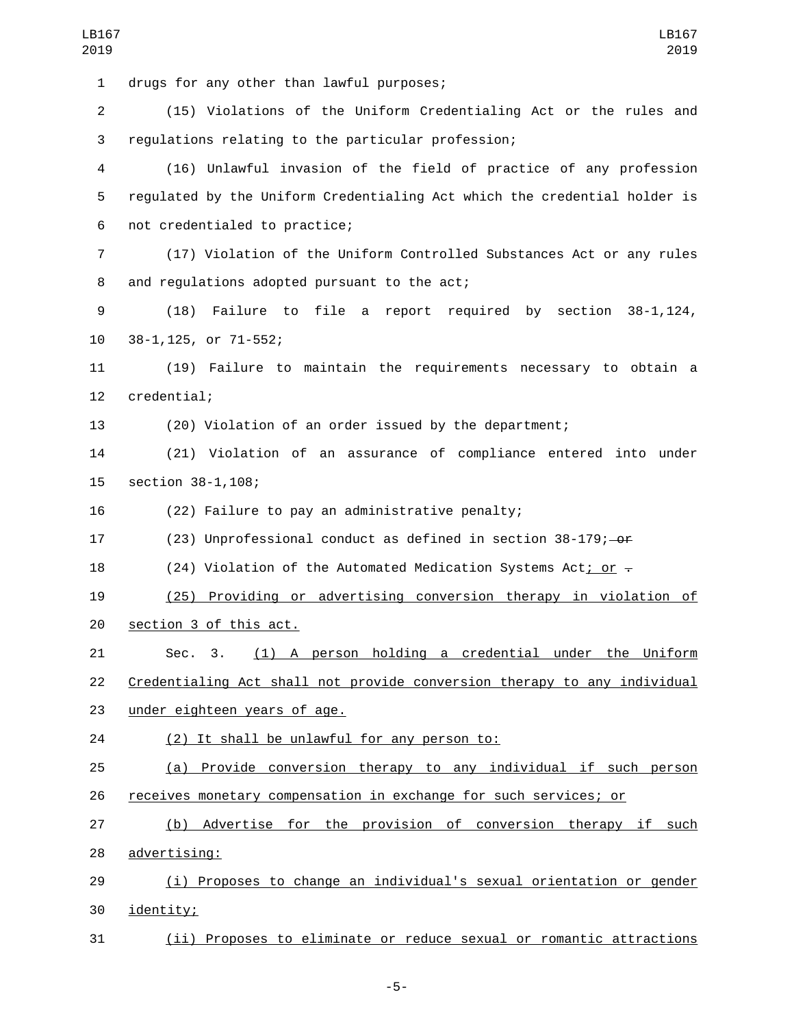1 drugs for any other than lawful purposes; 2 (15) Violations of the Uniform Credentialing Act or the rules and 3 regulations relating to the particular profession; 4 (16) Unlawful invasion of the field of practice of any profession 5 regulated by the Uniform Credentialing Act which the credential holder is 6 not credentialed to practice; 7 (17) Violation of the Uniform Controlled Substances Act or any rules 8 and regulations adopted pursuant to the act; 9 (18) Failure to file a report required by section 38-1,124, 38-1,125, or 71-552;10 11 (19) Failure to maintain the requirements necessary to obtain a 12 credential; 13 (20) Violation of an order issued by the department; 14 (21) Violation of an assurance of compliance entered into under 15 section 38-1,108; 16 (22) Failure to pay an administrative penalty; 17 (23) Unprofessional conduct as defined in section 38-179; or 18 (24) Violation of the Automated Medication Systems Act; or  $\overline{z}$ 19 (25) Providing or advertising conversion therapy in violation of 20 section 3 of this act. 21 Sec. 3. (1) A person holding a credential under the Uniform 22 Credentialing Act shall not provide conversion therapy to any individual 23 under eighteen years of age. 24 (2) It shall be unlawful for any person to: 25 (a) Provide conversion therapy to any individual if such person 26 receives monetary compensation in exchange for such services; or 27 (b) Advertise for the provision of conversion therapy if such 28 advertising: 29 (i) Proposes to change an individual's sexual orientation or gender 30 identity; 31 (ii) Proposes to eliminate or reduce sexual or romantic attractions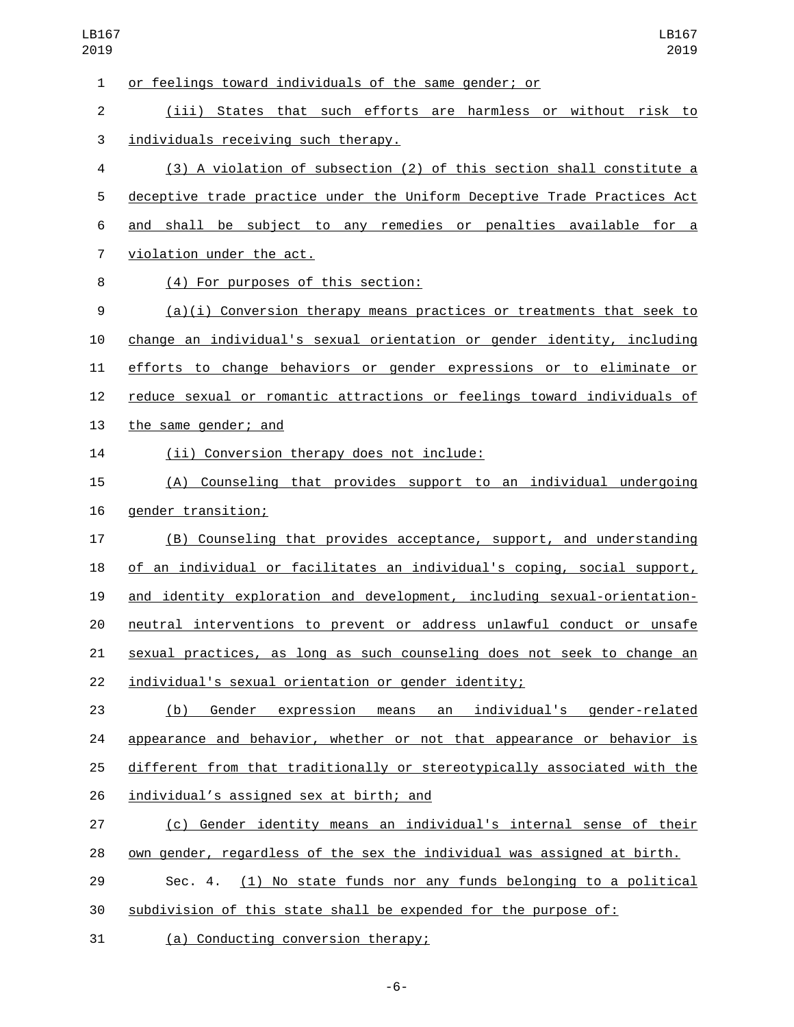or feelings toward individuals of the same gender; or

 (iii) States that such efforts are harmless or without risk to 3 individuals receiving such therapy.

 (3) A violation of subsection (2) of this section shall constitute a deceptive trade practice under the Uniform Deceptive Trade Practices Act and shall be subject to any remedies or penalties available for a 7 violation under the act.

(4) For purposes of this section:8

 (a)(i) Conversion therapy means practices or treatments that seek to change an individual's sexual orientation or gender identity, including efforts to change behaviors or gender expressions or to eliminate or reduce sexual or romantic attractions or feelings toward individuals of 13 the same gender; and

14 (ii) Conversion therapy does not include:

 (A) Counseling that provides support to an individual undergoing 16 gender transition;

 (B) Counseling that provides acceptance, support, and understanding of an individual or facilitates an individual's coping, social support, and identity exploration and development, including sexual-orientation- neutral interventions to prevent or address unlawful conduct or unsafe sexual practices, as long as such counseling does not seek to change an individual's sexual orientation or gender identity;

 (b) Gender expression means an individual's gender-related appearance and behavior, whether or not that appearance or behavior is different from that traditionally or stereotypically associated with the 26 individual's assigned sex at birth; and

 (c) Gender identity means an individual's internal sense of their own gender, regardless of the sex the individual was assigned at birth.

 Sec. 4. (1) No state funds nor any funds belonging to a political subdivision of this state shall be expended for the purpose of:

31 (a) Conducting conversion therapy;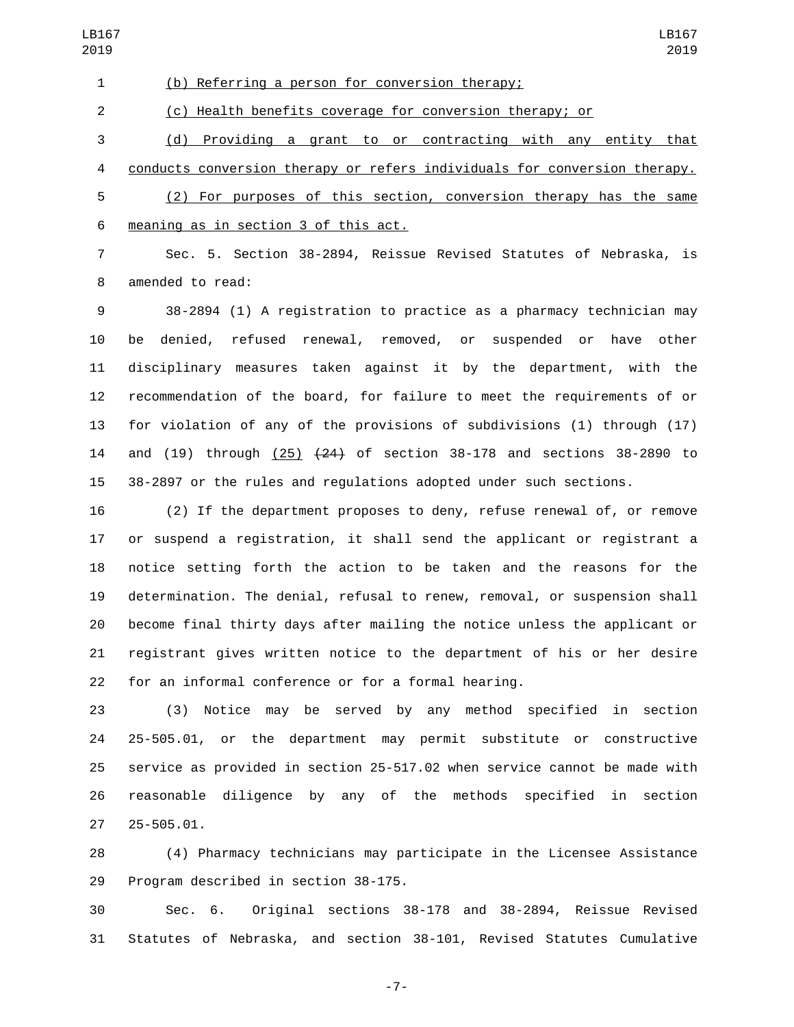(b) Referring a person for conversion therapy;

(c) Health benefits coverage for conversion therapy; or

 (d) Providing a grant to or contracting with any entity that conducts conversion therapy or refers individuals for conversion therapy. (2) For purposes of this section, conversion therapy has the same meaning as in section 3 of this act.6

 Sec. 5. Section 38-2894, Reissue Revised Statutes of Nebraska, is 8 amended to read:

 38-2894 (1) A registration to practice as a pharmacy technician may be denied, refused renewal, removed, or suspended or have other disciplinary measures taken against it by the department, with the recommendation of the board, for failure to meet the requirements of or for violation of any of the provisions of subdivisions (1) through (17) 14 and (19) through (25)  $(24)$  of section 38-178 and sections 38-2890 to 38-2897 or the rules and regulations adopted under such sections.

 (2) If the department proposes to deny, refuse renewal of, or remove or suspend a registration, it shall send the applicant or registrant a notice setting forth the action to be taken and the reasons for the determination. The denial, refusal to renew, removal, or suspension shall become final thirty days after mailing the notice unless the applicant or registrant gives written notice to the department of his or her desire for an informal conference or for a formal hearing.

 (3) Notice may be served by any method specified in section 25-505.01, or the department may permit substitute or constructive service as provided in section 25-517.02 when service cannot be made with reasonable diligence by any of the methods specified in section 25-505.01.

 (4) Pharmacy technicians may participate in the Licensee Assistance 29 Program described in section 38-175.

 Sec. 6. Original sections 38-178 and 38-2894, Reissue Revised Statutes of Nebraska, and section 38-101, Revised Statutes Cumulative

-7-